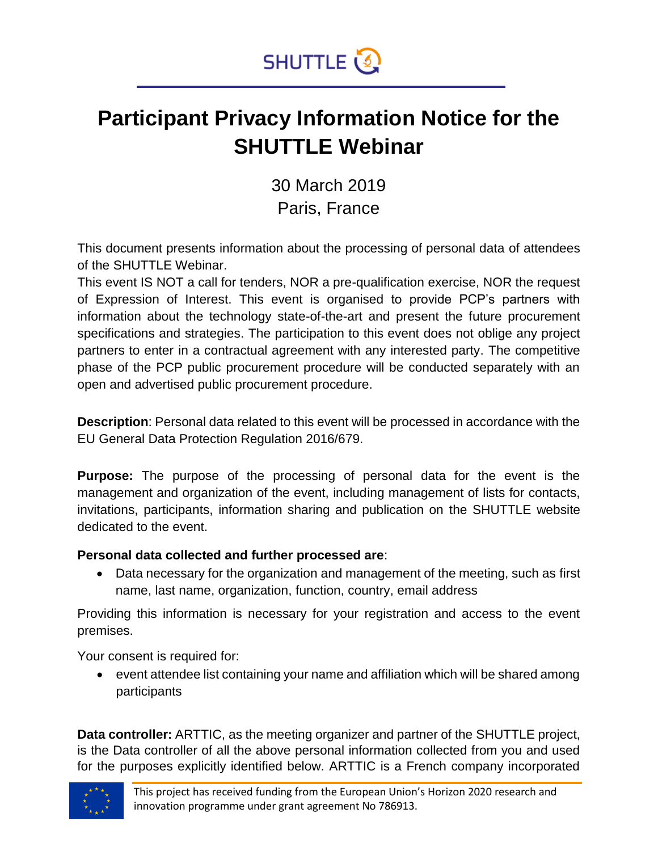

### **Participant Privacy Information Notice for the SHUTTLE Webinar**

30 March 2019 Paris, France

This document presents information about the processing of personal data of attendees of the SHUTTLE Webinar.

This event IS NOT a call for tenders, NOR a pre-qualification exercise, NOR the request of Expression of Interest. This event is organised to provide PCP's partners with information about the technology state-of-the-art and present the future procurement specifications and strategies. The participation to this event does not oblige any project partners to enter in a contractual agreement with any interested party. The competitive phase of the PCP public procurement procedure will be conducted separately with an open and advertised public procurement procedure.

**Description**: Personal data related to this event will be processed in accordance with the EU General Data Protection Regulation 2016/679.

**Purpose:** The purpose of the processing of personal data for the event is the management and organization of the event, including management of lists for contacts, invitations, participants, information sharing and publication on the SHUTTLE website dedicated to the event.

#### **Personal data collected and further processed are**:

• Data necessary for the organization and management of the meeting, such as first name, last name, organization, function, country, email address

Providing this information is necessary for your registration and access to the event premises.

Your consent is required for:

• event attendee list containing your name and affiliation which will be shared among participants

**Data controller:** ARTTIC, as the meeting organizer and partner of the SHUTTLE project, is the Data controller of all the above personal information collected from you and used for the purposes explicitly identified below. ARTTIC is a French company incorporated

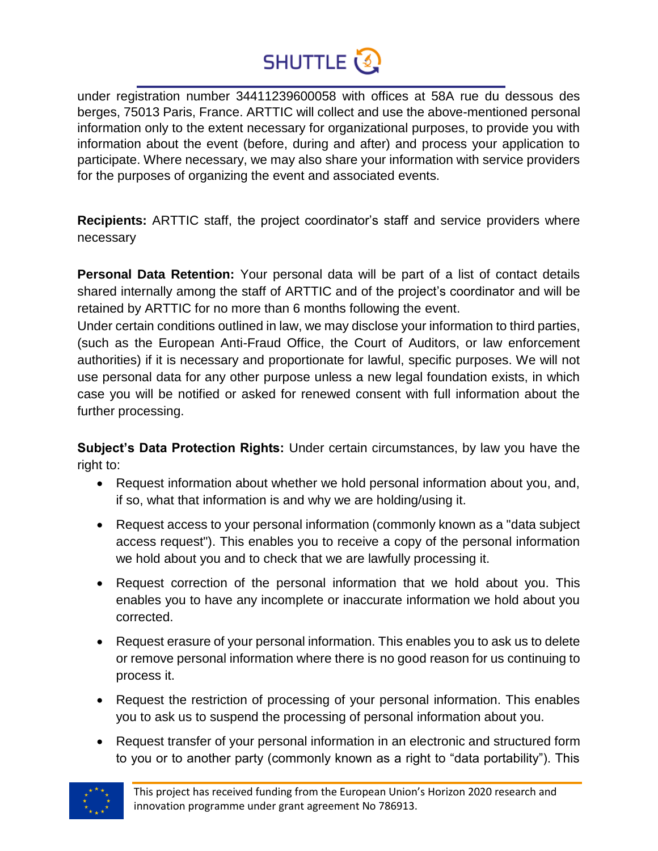## **SHUTTLE**

under registration number 34411239600058 with offices at 58A rue du dessous des berges, 75013 Paris, France. ARTTIC will collect and use the above-mentioned personal information only to the extent necessary for organizational purposes, to provide you with information about the event (before, during and after) and process your application to participate. Where necessary, we may also share your information with service providers for the purposes of organizing the event and associated events.

**Recipients:** ARTTIC staff, the project coordinator's staff and service providers where necessary

**Personal Data Retention:** Your personal data will be part of a list of contact details shared internally among the staff of ARTTIC and of the project's coordinator and will be retained by ARTTIC for no more than 6 months following the event.

Under certain conditions outlined in law, we may disclose your information to third parties, (such as the European Anti-Fraud Office, the Court of Auditors, or law enforcement authorities) if it is necessary and proportionate for lawful, specific purposes. We will not use personal data for any other purpose unless a new legal foundation exists, in which case you will be notified or asked for renewed consent with full information about the further processing.

**Subject's Data Protection Rights:** Under certain circumstances, by law you have the right to:

- Request information about whether we hold personal information about you, and, if so, what that information is and why we are holding/using it.
- Request access to your personal information (commonly known as a "data subject access request"). This enables you to receive a copy of the personal information we hold about you and to check that we are lawfully processing it.
- Request correction of the personal information that we hold about you. This enables you to have any incomplete or inaccurate information we hold about you corrected.
- Request erasure of your personal information. This enables you to ask us to delete or remove personal information where there is no good reason for us continuing to process it.
- Request the restriction of processing of your personal information. This enables you to ask us to suspend the processing of personal information about you.
- Request transfer of your personal information in an electronic and structured form to you or to another party (commonly known as a right to "data portability"). This